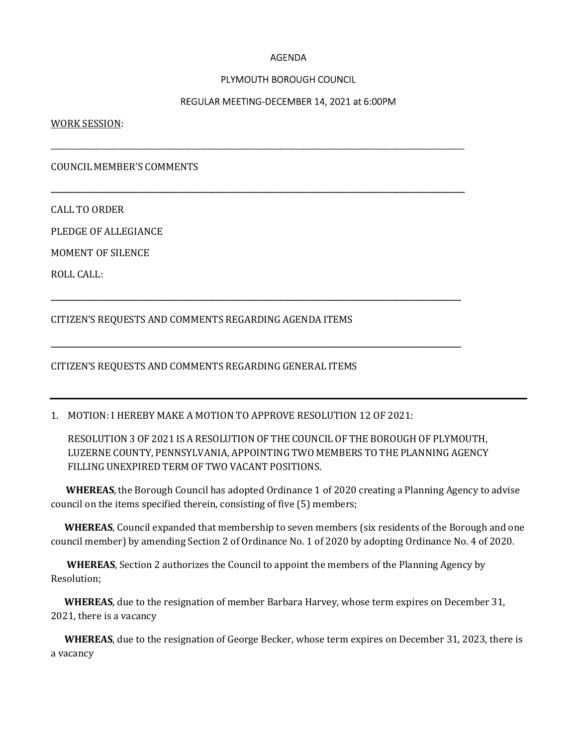## AGENDA

## PLYMOUTH BOROUGH COUNCIL

### REGULAR MEETING-DECEMBER 14, 2021 at 6:00PM

\_\_\_\_\_\_\_\_\_\_\_\_\_\_\_\_\_\_\_\_\_\_\_\_\_\_\_\_\_\_\_\_\_\_\_\_\_\_\_\_\_\_\_\_\_\_\_\_\_\_\_\_\_\_\_\_\_\_\_\_\_\_\_\_\_\_\_\_\_\_\_\_\_\_\_\_\_\_\_\_\_\_\_\_\_\_\_\_\_\_\_\_\_\_\_\_\_\_\_\_\_\_\_\_\_\_\_\_

\_\_\_\_\_\_\_\_\_\_\_\_\_\_\_\_\_\_\_\_\_\_\_\_\_\_\_\_\_\_\_\_\_\_\_\_\_\_\_\_\_\_\_\_\_\_\_\_\_\_\_\_\_\_\_\_\_\_\_\_\_\_\_\_\_\_\_\_\_\_\_\_\_\_\_\_\_\_\_\_\_\_\_\_\_\_\_\_\_\_\_\_\_\_\_\_\_\_\_\_\_\_\_\_\_\_\_\_

\_\_\_\_\_\_\_\_\_\_\_\_\_\_\_\_\_\_\_\_\_\_\_\_\_\_\_\_\_\_\_\_\_\_\_\_\_\_\_\_\_\_\_\_\_\_\_\_\_\_\_\_\_\_\_\_\_\_\_\_\_\_\_\_\_\_\_\_\_\_\_\_\_\_\_\_\_\_\_\_\_\_\_\_\_\_\_\_\_\_\_\_\_\_\_\_\_\_\_\_\_\_\_\_\_\_\_

\_\_\_\_\_\_\_\_\_\_\_\_\_\_\_\_\_\_\_\_\_\_\_\_\_\_\_\_\_\_\_\_\_\_\_\_\_\_\_\_\_\_\_\_\_\_\_\_\_\_\_\_\_\_\_\_\_\_\_\_\_\_\_\_\_\_\_\_\_\_\_\_\_\_\_\_\_\_\_\_\_\_\_\_\_\_\_\_\_\_\_\_\_\_\_\_\_\_\_\_\_\_\_\_\_\_\_

WORK SESSION:

COUNCIL MEMBER'S COMMENTS

CALL TO ORDER

PLEDGE OF ALLEGIANCE

MOMENT OF SILENCE

ROLL CALL:

CITIZEN'S REQUESTS AND COMMENTS REGARDING AGENDA ITEMS

#### CITIZEN'S REQUESTS AND COMMENTS REGARDING GENERAL ITEMS

1. MOTION: I HEREBY MAKE A MOTION TO APPROVE RESOLUTION 12 OF 2021:

RESOLUTION 3 OF 2021 IS A RESOLUTION OF THE COUNCIL OF THE BOROUGH OF PLYMOUTH, LUZERNE COUNTY, PENNSYLVANIA, APPOINTING TWO MEMBERS TO THE PLANNING AGENCY FILLING UNEXPIRED TERM OF TWO VACANT POSITIONS.

WHEREAS, the Borough Council has adopted Ordinance 1 of 2020 creating a Planning Agency to advise council on the items specified therein, consisting of five (5) members;

 WHEREAS, Council expanded that membership to seven members (six residents of the Borough and one council member) by amending Section 2 of Ordinance No. 1 of 2020 by adopting Ordinance No. 4 of 2020.

WHEREAS, Section 2 authorizes the Council to appoint the members of the Planning Agency by Resolution;

WHEREAS, due to the resignation of member Barbara Harvey, whose term expires on December 31, 2021, there is a vacancy

 WHEREAS, due to the resignation of George Becker, whose term expires on December 31, 2023, there is a vacancy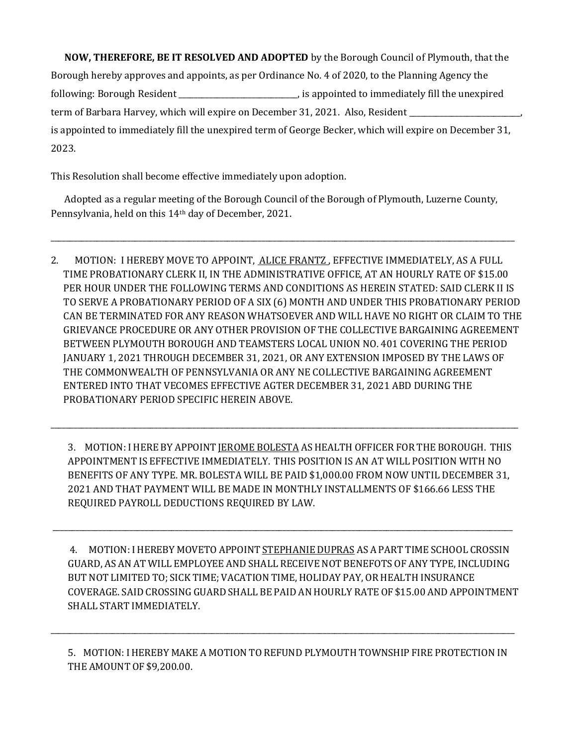NOW, THEREFORE, BE IT RESOLVED AND ADOPTED by the Borough Council of Plymouth, that the Borough hereby approves and appoints, as per Ordinance No. 4 of 2020, to the Planning Agency the following: Borough Resident \_\_\_\_\_\_\_\_\_\_\_\_\_\_\_\_\_\_\_\_\_\_\_\_\_\_\_\_\_\_\_, is appointed to immediately fill the unexpired term of Barbara Harvey, which will expire on December 31, 2021. Also, Resident is appointed to immediately fill the unexpired term of George Becker, which will expire on December 31, 2023.

This Resolution shall become effective immediately upon adoption.

 Adopted as a regular meeting of the Borough Council of the Borough of Plymouth, Luzerne County, Pennsylvania, held on this 14th day of December, 2021.

\_\_\_\_\_\_\_\_\_\_\_\_\_\_\_\_\_\_\_\_\_\_\_\_\_\_\_\_\_\_\_\_\_\_\_\_\_\_\_\_\_\_\_\_\_\_\_\_\_\_\_\_\_\_\_\_\_\_\_\_\_\_\_\_\_\_\_\_\_\_\_\_\_\_\_\_\_\_\_\_\_\_\_\_\_\_\_\_\_\_\_\_\_\_\_\_\_\_\_\_\_\_\_\_\_\_\_\_\_\_\_\_\_\_\_\_\_\_\_\_\_

2. MOTION: I HEREBY MOVE TO APPOINT, ALICE FRANTZ , EFFECTIVE IMMEDIATELY, AS A FULL TIME PROBATIONARY CLERK II, IN THE ADMINISTRATIVE OFFICE, AT AN HOURLY RATE OF \$15.00 PER HOUR UNDER THE FOLLOWING TERMS AND CONDITIONS AS HEREIN STATED: SAID CLERK II IS TO SERVE A PROBATIONARY PERIOD OF A SIX (6) MONTH AND UNDER THIS PROBATIONARY PERIOD CAN BE TERMINATED FOR ANY REASON WHATSOEVER AND WILL HAVE NO RIGHT OR CLAIM TO THE GRIEVANCE PROCEDURE OR ANY OTHER PROVISION OF THE COLLECTIVE BARGAINING AGREEMENT BETWEEN PLYMOUTH BOROUGH AND TEAMSTERS LOCAL UNION NO. 401 COVERING THE PERIOD JANUARY 1, 2021 THROUGH DECEMBER 31, 2021, OR ANY EXTENSION IMPOSED BY THE LAWS OF THE COMMONWEALTH OF PENNSYLVANIA OR ANY NE COLLECTIVE BARGAINING AGREEMENT ENTERED INTO THAT VECOMES EFFECTIVE AGTER DECEMBER 31, 2021 ABD DURING THE PROBATIONARY PERIOD SPECIFIC HEREIN ABOVE.

3. MOTION: I HERE BY APPOINT JEROME BOLESTA ASHEALTH OFFICER FOR THE BOROUGH. THIS APPOINTMENT IS EFFECTIVE IMMEDIATELY. THIS POSITION IS AN AT WILL POSITION WITH NO BENEFITS OF ANY TYPE. MR. BOLESTA WILL BE PAID \$1,000.00 FROM NOW UNTIL DECEMBER 31, 2021 AND THAT PAYMENT WILL BE MADE IN MONTHLY INSTALLMENTS OF \$166.66 LESS THE REQUIRED PAYROLL DEDUCTIONS REQUIRED BY LAW.

\_\_\_\_\_\_\_\_\_\_\_\_\_\_\_\_\_\_\_\_\_\_\_\_\_\_\_\_\_\_\_\_\_\_\_\_\_\_\_\_\_\_\_\_\_\_\_\_\_\_\_\_\_\_\_\_\_\_\_\_\_\_\_\_\_\_\_\_\_\_\_\_\_\_\_\_\_\_\_\_\_\_\_\_\_\_\_\_\_\_\_\_\_\_\_\_\_\_\_\_\_\_\_\_\_\_\_\_\_\_\_\_\_\_\_\_\_\_\_\_

\_\_\_\_\_\_\_\_\_\_\_\_\_\_\_\_\_\_\_\_\_\_\_\_\_\_\_\_\_\_\_\_\_\_\_\_\_\_\_\_\_\_\_\_\_\_\_\_\_\_\_\_\_\_\_\_\_\_\_\_\_\_\_\_\_\_\_\_\_\_\_\_\_\_\_\_\_\_\_\_\_\_\_\_\_\_\_\_\_\_\_\_\_\_\_\_\_\_\_\_\_\_\_\_\_\_\_\_\_\_\_\_\_\_\_\_\_\_\_\_\_\_

4. MOTION: I HEREBY MOVETO APPOINT STEPHANIE DUPRAS AS A PART TIME SCHOOL CROSSIN GUARD, AS AN AT WILL EMPLOYEE AND SHALL RECEIVE NOT BENEFOTS OF ANY TYPE, INCLUDING BUT NOT LIMITED TO; SICK TIME; VACATION TIME, HOLIDAY PAY, OR HEALTH INSURANCE COVERAGE. SAID CROSSING GUARD SHALL BE PAID AN HOURLY RATE OF \$15.00 AND APPOINTMENT SHALL START IMMEDIATELY.

5. MOTION: I HEREBY MAKE A MOTION TO REFUND PLYMOUTH TOWNSHIP FIRE PROTECTION IN THE AMOUNT OF \$9,200.00.

\_\_\_\_\_\_\_\_\_\_\_\_\_\_\_\_\_\_\_\_\_\_\_\_\_\_\_\_\_\_\_\_\_\_\_\_\_\_\_\_\_\_\_\_\_\_\_\_\_\_\_\_\_\_\_\_\_\_\_\_\_\_\_\_\_\_\_\_\_\_\_\_\_\_\_\_\_\_\_\_\_\_\_\_\_\_\_\_\_\_\_\_\_\_\_\_\_\_\_\_\_\_\_\_\_\_\_\_\_\_\_\_\_\_\_\_\_\_\_\_\_